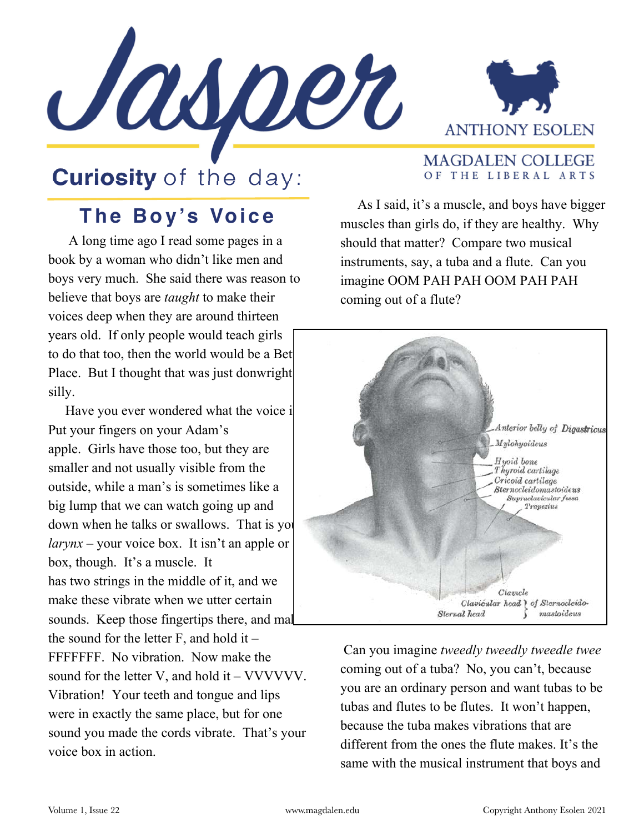



**MAGDALEN COLLEGE** OF THE LIBERAL ARTS

## **Curiosity** of the day:

## **The Boy 's Voice**

 A long time ago I read some pages in a book by a woman who didn't like men and boys very much. She said there was reason to believe that boys are *taught* to make their voices deep when they are around thirteen years old. If only people would teach girls to do that too, then the world would be a Bet Place. But I thought that was just donwright silly.

Have you ever wondered what the voice i Put your fingers on your Adam's apple. Girls have those too, but they are smaller and not usually visible from the outside, while a man's is sometimes like a big lump that we can watch going up and down when he talks or swallows. That is you  $larynx$  – your voice box. It isn't an apple or box, though. It's a muscle. It has two strings in the middle of it, and we make these vibrate when we utter certain sounds. Keep those fingertips there, and mal the sound for the letter  $F$ , and hold it – FFFFFFF. No vibration. Now make the sound for the letter V, and hold it – VVVVVV. Vibration! Your teeth and tongue and lips were in exactly the same place, but for one sound you made the cords vibrate. That's your voice box in action.

 As I said, it's a muscle, and boys have bigger muscles than girls do, if they are healthy. Why should that matter? Compare two musical instruments, say, a tuba and a flute. Can you imagine OOM PAH PAH OOM PAH PAH coming out of a flute?



 Can you imagine *tweedly tweedly tweedle twee*  coming out of a tuba? No, you can't, because you are an ordinary person and want tubas to be tubas and flutes to be flutes. It won't happen, because the tuba makes vibrations that are different from the ones the flute makes. It's the same with the musical instrument that boys and